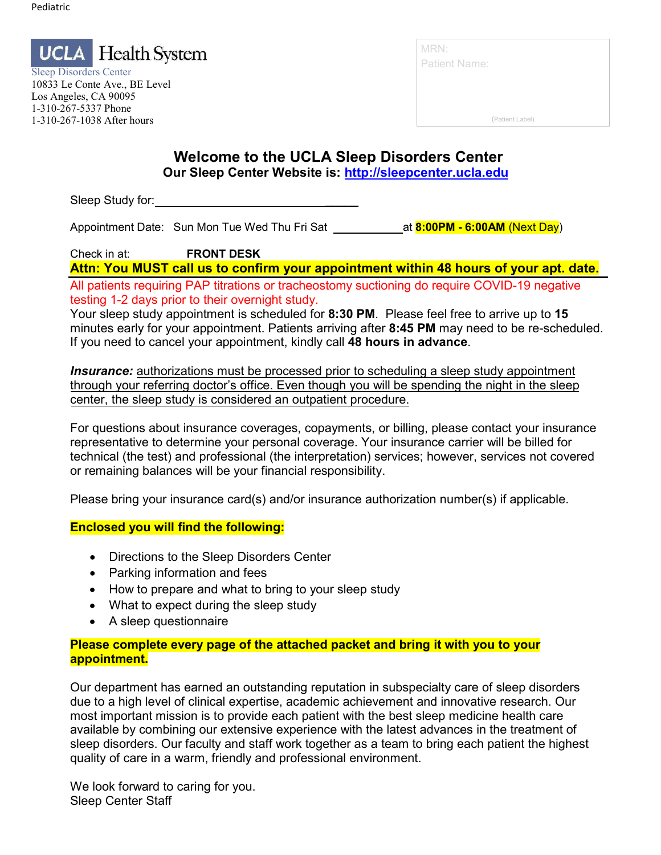

Sleep Disorders Center 10833 Le Conte Ave., BE Level Los Angeles, CA 90095 1-310-267-5337 Phone 1-310-267-1038 After hours

| MRN:                 |  |
|----------------------|--|
| <b>Patient Name:</b> |  |

(Patient Label)

#### **Welcome to the UCLA Sleep Disorders Center Our Sleep Center Website is: [http://sleepcenter.ucla.edu](http://sleepcenter.ucla.edu/)**

Sleep Study for:

Appointment Date: Sun Mon Tue Wed Thu Fri Sat **at 8:00PM - 6:00AM** (Next Day)

Check in at: **FRONT DESK**

**Attn: You MUST call us to confirm your appointment within 48 hours of your apt. date.** 

All patients requiring PAP titrations or tracheostomy suctioning do require COVID-19 negative testing 1-2 days prior to their overnight study.

Your sleep study appointment is scheduled for **8:30 PM**. Please feel free to arrive up to **15**  minutes early for your appointment. Patients arriving after **8:45 PM** may need to be re-scheduled. If you need to cancel your appointment, kindly call **48 hours in advance**.

**Insurance:** authorizations must be processed prior to scheduling a sleep study appointment through your referring doctor's office. Even though you will be spending the night in the sleep center, the sleep study is considered an outpatient procedure.

For questions about insurance coverages, copayments, or billing, please contact your insurance representative to determine your personal coverage. Your insurance carrier will be billed for technical (the test) and professional (the interpretation) services; however, services not covered or remaining balances will be your financial responsibility.

Please bring your insurance card(s) and/or insurance authorization number(s) if applicable.

#### **Enclosed you will find the following:**

- Directions to the Sleep Disorders Center
- Parking information and fees
- How to prepare and what to bring to your sleep study
- What to expect during the sleep study
- A sleep questionnaire

#### **Please complete every page of the attached packet and bring it with you to your appointment.**

Our department has earned an outstanding reputation in subspecialty care of sleep disorders due to a high level of clinical expertise, academic achievement and innovative research. Our most important mission is to provide each patient with the best sleep medicine health care available by combining our extensive experience with the latest advances in the treatment of sleep disorders. Our faculty and staff work together as a team to bring each patient the highest quality of care in a warm, friendly and professional environment.

We look forward to caring for you. Sleep Center Staff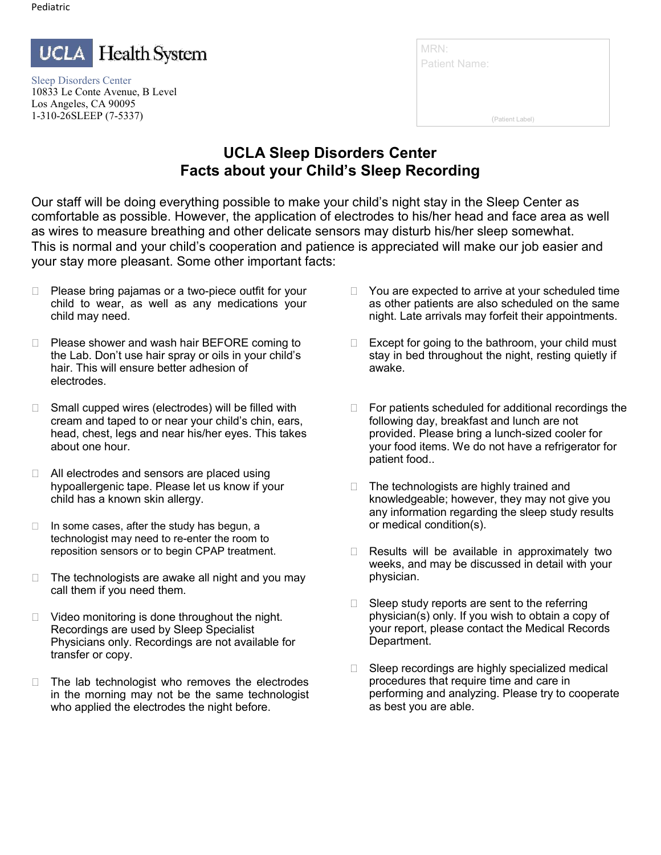

Sleep Disorders Center 10833 Le Conte Avenue, B Level Los Angeles, CA 90095 1-310-26SLEEP (7-5337)

| MRN:                 |                 |
|----------------------|-----------------|
| <b>Patient Name:</b> |                 |
|                      |                 |
|                      | (Patient Label) |

### **UCLA Sleep Disorders Center Facts about your Child's Sleep Recording**

Our staff will be doing everything possible to make your child's night stay in the Sleep Center as comfortable as possible. However, the application of electrodes to his/her head and face area as well as wires to measure breathing and other delicate sensors may disturb his/her sleep somewhat. This is normal and your child's cooperation and patience is appreciated will make our job easier and your stay more pleasant. Some other important facts:

- $\Box$  Please bring pajamas or a two-piece outfit for your child to wear, as well as any medications your child may need.
- □ Please shower and wash hair BEFORE coming to the Lab. Don't use hair spray or oils in your child's hair. This will ensure better adhesion of electrodes.
- □ Small cupped wires (electrodes) will be filled with cream and taped to or near your child's chin, ears, head, chest, legs and near his/her eyes. This takes about one hour.
- □ All electrodes and sensors are placed using hypoallergenic tape. Please let us know if your child has a known skin allergy.
- $\Box$  In some cases, after the study has begun, a technologist may need to re-enter the room to reposition sensors or to begin CPAP treatment.
- $\Box$  The technologists are awake all night and you may call them if you need them.
- $\Box$  Video monitoring is done throughout the night. Recordings are used by Sleep Specialist Physicians only. Recordings are not available for transfer or copy.
- $\Box$  The lab technologist who removes the electrodes in the morning may not be the same technologist who applied the electrodes the night before.
- $\Box$  You are expected to arrive at your scheduled time as other patients are also scheduled on the same night. Late arrivals may forfeit their appointments.
- $\Box$  Except for going to the bathroom, your child must stay in bed throughout the night, resting quietly if awake.
- $\Box$  For patients scheduled for additional recordings the following day, breakfast and lunch are not provided. Please bring a lunch-sized cooler for your food items. We do not have a refrigerator for patient food..
- $\Box$  The technologists are highly trained and knowledgeable; however, they may not give you any information regarding the sleep study results or medical condition(s).
- □ Results will be available in approximately two weeks, and may be discussed in detail with your physician.
- $\Box$  Sleep study reports are sent to the referring physician(s) only. If you wish to obtain a copy of your report, please contact the Medical Records Department.
- □ Sleep recordings are highly specialized medical procedures that require time and care in performing and analyzing. Please try to cooperate as best you are able.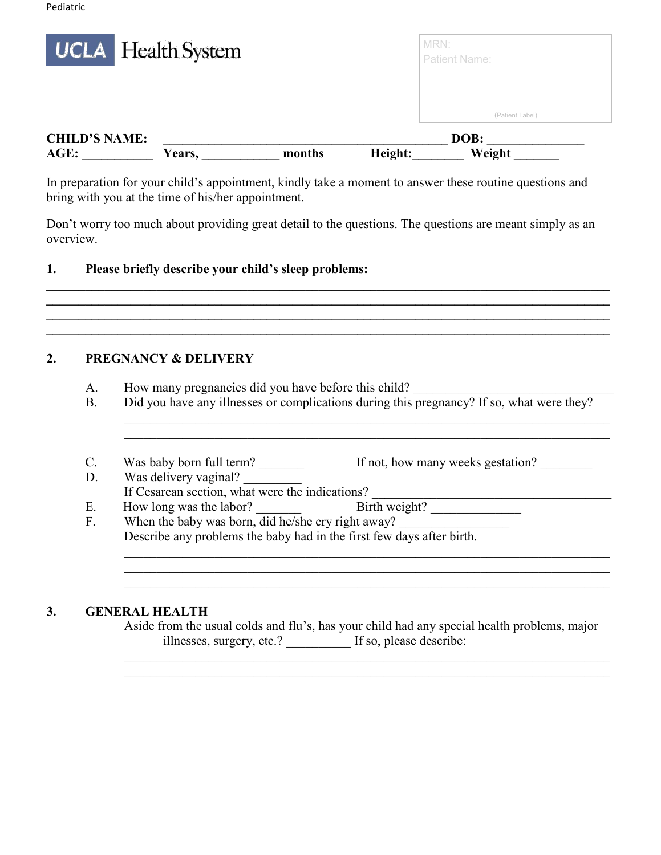|                              | <b>UCLA</b> Health System |        |         | MRN:<br>Patient Name: |  |
|------------------------------|---------------------------|--------|---------|-----------------------|--|
|                              |                           |        |         | (Patient Label)       |  |
| <b>CHILD'S NAME:</b><br>AGE: | Years,                    | months | Height: | DOB:<br>Weight        |  |

In preparation for your child's appointment, kindly take a moment to answer these routine questions and bring with you at the time of his/her appointment.

Don't worry too much about providing great detail to the questions. The questions are meant simply as an overview.

**\_\_\_\_\_\_\_\_\_\_\_\_\_\_\_\_\_\_\_\_\_\_\_\_\_\_\_\_\_\_\_\_\_\_\_\_\_\_\_\_\_\_\_\_\_\_\_\_\_\_\_\_\_\_\_\_\_\_\_\_\_\_\_\_\_\_\_\_\_\_\_\_\_\_\_\_\_\_\_\_\_\_\_\_\_\_\_ \_\_\_\_\_\_\_\_\_\_\_\_\_\_\_\_\_\_\_\_\_\_\_\_\_\_\_\_\_\_\_\_\_\_\_\_\_\_\_\_\_\_\_\_\_\_\_\_\_\_\_\_\_\_\_\_\_\_\_\_\_\_\_\_\_\_\_\_\_\_\_\_\_\_\_\_\_\_\_\_\_\_\_\_\_\_\_ \_\_\_\_\_\_\_\_\_\_\_\_\_\_\_\_\_\_\_\_\_\_\_\_\_\_\_\_\_\_\_\_\_\_\_\_\_\_\_\_\_\_\_\_\_\_\_\_\_\_\_\_\_\_\_\_\_\_\_\_\_\_\_\_\_\_\_\_\_\_\_\_\_\_\_\_\_\_\_\_\_\_\_\_\_\_\_ \_\_\_\_\_\_\_\_\_\_\_\_\_\_\_\_\_\_\_\_\_\_\_\_\_\_\_\_\_\_\_\_\_\_\_\_\_\_\_\_\_\_\_\_\_\_\_\_\_\_\_\_\_\_\_\_\_\_\_\_\_\_\_\_\_\_\_\_\_\_\_\_\_\_\_\_\_\_\_\_\_\_\_\_\_\_\_**

#### **1. Please briefly describe your child's sleep problems:**

#### **2. PREGNANCY & DELIVERY**

- A. How many pregnancies did you have before this child?
- B. Did you have any illnesses or complications during this pregnancy? If so, what were they?

\_\_\_\_\_\_\_\_\_\_\_\_\_\_\_\_\_\_\_\_\_\_\_\_\_\_\_\_\_\_\_\_\_\_\_\_\_\_\_\_\_\_\_\_\_\_\_\_\_\_\_\_\_\_\_\_\_\_\_\_\_\_\_\_\_\_\_\_\_\_\_\_\_\_\_

- C. Was baby born full term? If not, how many weeks gestation?
- D. Was delivery vaginal?
- If Cesarean section, what were the indications? \_\_\_\_\_\_\_\_\_\_\_\_\_\_\_\_\_\_\_\_\_\_\_\_\_\_\_\_\_\_\_\_\_\_\_\_\_ E. How long was the labor?
- F. When the baby was born, did he/she cry right away? Describe any problems the baby had in the first few days after birth. \_\_\_\_\_\_\_\_\_\_\_\_\_\_\_\_\_\_\_\_\_\_\_\_\_\_\_\_\_\_\_\_\_\_\_\_\_\_\_\_\_\_\_\_\_\_\_\_\_\_\_\_\_\_\_\_\_\_\_\_\_\_\_\_\_\_\_\_\_\_\_\_\_\_\_

#### **3. GENERAL HEALTH**

Aside from the usual colds and flu's, has your child had any special health problems, major illnesses, surgery, etc.? If so, please describe:

\_\_\_\_\_\_\_\_\_\_\_\_\_\_\_\_\_\_\_\_\_\_\_\_\_\_\_\_\_\_\_\_\_\_\_\_\_\_\_\_\_\_\_\_\_\_\_\_\_\_\_\_\_\_\_\_\_\_\_\_\_\_\_\_\_\_\_\_\_\_\_\_\_\_\_

\_\_\_\_\_\_\_\_\_\_\_\_\_\_\_\_\_\_\_\_\_\_\_\_\_\_\_\_\_\_\_\_\_\_\_\_\_\_\_\_\_\_\_\_\_\_\_\_\_\_\_\_\_\_\_\_\_\_\_\_\_\_\_\_\_\_\_\_\_\_\_\_\_\_\_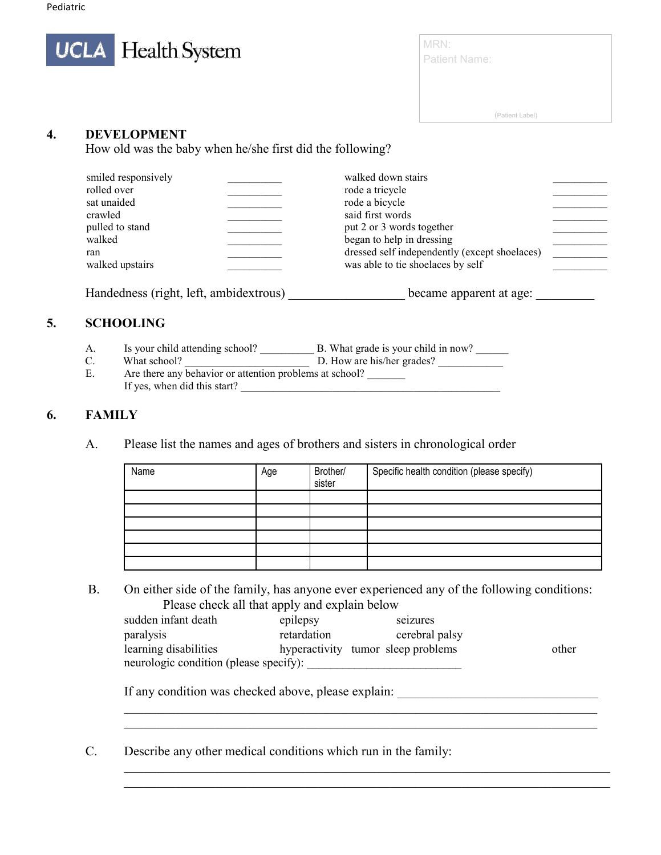

MRN: Patient Name:

(Patient Label)

#### **4. DEVELOPMENT**

How old was the baby when he/she first did the following?

| smiled responsively<br>rolled over<br>sat unaided<br>crawled<br>pulled to stand<br>walked<br>ran<br>walked upstairs | walked down stairs<br>rode a tricycle<br>rode a bicycle<br>said first words<br>put 2 or 3 words together<br>began to help in dressing<br>dressed self independently (except shoelaces)<br>was able to tie shoelaces by self |  |
|---------------------------------------------------------------------------------------------------------------------|-----------------------------------------------------------------------------------------------------------------------------------------------------------------------------------------------------------------------------|--|
|                                                                                                                     |                                                                                                                                                                                                                             |  |

Handedness (right, left, ambidextrous) became apparent at age:

#### **5. SCHOOLING**

- A. Is your child attending school? \_\_\_\_\_\_\_\_\_\_ B. What grade is your child in now? \_\_\_\_\_\_
- C. What school? \_\_\_\_\_\_\_\_\_\_\_\_\_\_\_\_\_\_\_\_\_\_\_ D. How are his/her grades? \_\_\_\_\_\_\_\_\_\_\_\_
- E. Are there any behavior or attention problems at school? If yes, when did this start?

#### **6. FAMILY**

A. Please list the names and ages of brothers and sisters in chronological order

| Name | Age | Brother/<br>sister | Specific health condition (please specify) |
|------|-----|--------------------|--------------------------------------------|
|      |     |                    |                                            |
|      |     |                    |                                            |
|      |     |                    |                                            |
|      |     |                    |                                            |
|      |     |                    |                                            |
|      |     |                    |                                            |

B. On either side of the family, has anyone ever experienced any of the following conditions: Please check all that apply and explain below

| sudden infant death                    | epilepsy    | seizures                           |       |
|----------------------------------------|-------------|------------------------------------|-------|
| paralysis                              | retardation | cerebral palsy                     |       |
| learning disabilities                  |             | hyperactivity tumor sleep problems | other |
| neurologic condition (please specify): |             |                                    |       |

 $\mathcal{L}_\text{G}$  , and the contribution of the contribution of the contribution of the contribution of the contribution of the contribution of the contribution of the contribution of the contribution of the contribution of t  $\mathcal{L}_\text{G}$  , and the contribution of the contribution of the contribution of the contribution of the contribution of the contribution of the contribution of the contribution of the contribution of the contribution of t

\_\_\_\_\_\_\_\_\_\_\_\_\_\_\_\_\_\_\_\_\_\_\_\_\_\_\_\_\_\_\_\_\_\_\_\_\_\_\_\_\_\_\_\_\_\_\_\_\_\_\_\_\_\_\_\_\_\_\_\_\_\_\_\_\_\_\_\_\_\_\_\_\_\_\_ \_\_\_\_\_\_\_\_\_\_\_\_\_\_\_\_\_\_\_\_\_\_\_\_\_\_\_\_\_\_\_\_\_\_\_\_\_\_\_\_\_\_\_\_\_\_\_\_\_\_\_\_\_\_\_\_\_\_\_\_\_\_\_\_\_\_\_\_\_\_\_\_\_\_\_

If any condition was checked above, please explain: \_\_\_\_\_\_\_\_\_\_\_\_\_\_\_\_\_\_\_\_\_\_\_\_\_\_\_\_\_

C. Describe any other medical conditions which run in the family: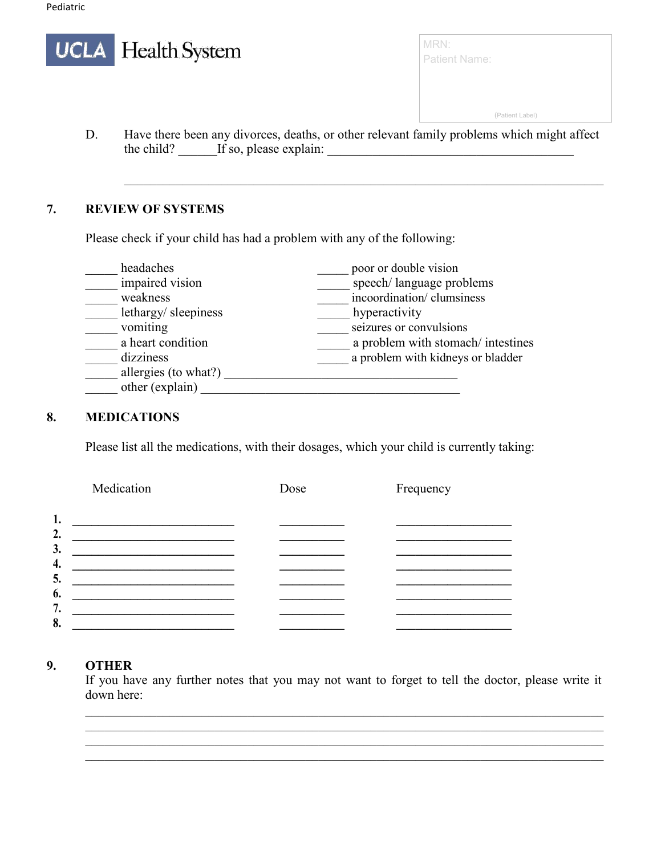|    | <b>UCLA</b> Health System                                                                                                          | <b>Patient Name:</b> |
|----|------------------------------------------------------------------------------------------------------------------------------------|----------------------|
|    |                                                                                                                                    |                      |
|    |                                                                                                                                    | (Patient Label)      |
| D. | Have there been any divorces, deaths, or other relevant family problems which might affect<br>If so, please explain:<br>the child? |                      |

\_\_\_\_\_\_\_\_\_\_\_\_\_\_\_\_\_\_\_\_\_\_\_\_\_\_\_\_\_\_\_\_\_\_\_\_\_\_\_\_\_\_\_\_\_\_\_\_\_\_\_\_\_\_\_\_\_\_\_\_\_\_\_\_\_\_\_\_\_\_\_\_\_\_

#### **7. REVIEW OF SYSTEMS**

Please check if your child has had a problem with any of the following:

| headaches            | poor or double vision             |
|----------------------|-----------------------------------|
| impaired vision      | speech/language problems          |
| weakness             | incoordination/ clumsiness        |
| lethargy/sleepiness  | hyperactivity                     |
| vomiting             | seizures or convulsions           |
| a heart condition    | a problem with stomach/intestines |
| dizziness            | a problem with kidneys or bladder |
| allergies (to what?) |                                   |
| other (explain)      |                                   |

#### **8. MEDICATIONS**

Please list all the medications, with their dosages, which your child is currently taking:

| Medication | Dose | Frequency |
|------------|------|-----------|
| 1.         |      |           |
| 2.<br>3.   |      |           |
| 4.<br>5.   |      |           |
| 6.<br>7.   |      |           |
| 8.         |      |           |

#### **9. OTHER**

If you have any further notes that you may not want to forget to tell the doctor, please write it down here:

\_\_\_\_\_\_\_\_\_\_\_\_\_\_\_\_\_\_\_\_\_\_\_\_\_\_\_\_\_\_\_\_\_\_\_\_\_\_\_\_\_\_\_\_\_\_\_\_\_\_\_\_\_\_\_\_\_\_\_\_\_\_\_\_\_\_\_\_\_\_\_\_\_\_\_\_\_\_\_\_ \_\_\_\_\_\_\_\_\_\_\_\_\_\_\_\_\_\_\_\_\_\_\_\_\_\_\_\_\_\_\_\_\_\_\_\_\_\_\_\_\_\_\_\_\_\_\_\_\_\_\_\_\_\_\_\_\_\_\_\_\_\_\_\_\_\_\_\_\_\_\_\_\_\_\_\_\_\_\_\_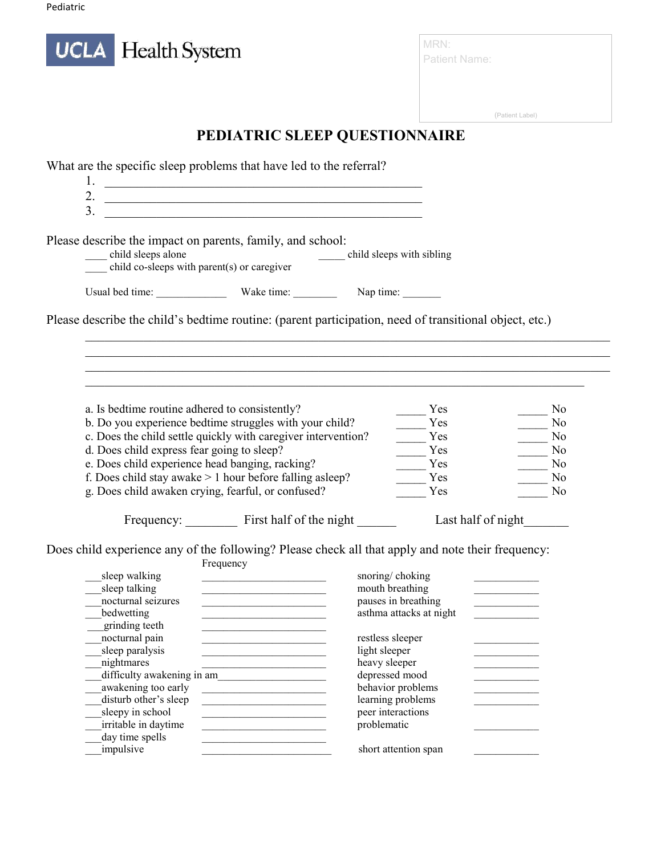

MRN: Patient Name:

(Patient Label)

# **PEDIATRIC SLEEP QUESTIONNAIRE**

| What are the specific sleep problems that have led to the referral?                                                                                                               |                                                                                                                                                                                                                                      |                                        |                         |                                           |
|-----------------------------------------------------------------------------------------------------------------------------------------------------------------------------------|--------------------------------------------------------------------------------------------------------------------------------------------------------------------------------------------------------------------------------------|----------------------------------------|-------------------------|-------------------------------------------|
| 1.                                                                                                                                                                                | <u> Alexandria de la contrada de la contrada de la contrada de la contrada de la contrada de la contrada de la c</u>                                                                                                                 |                                        |                         |                                           |
| 2.                                                                                                                                                                                |                                                                                                                                                                                                                                      |                                        |                         |                                           |
| 3.                                                                                                                                                                                | <u> 2000 - Jan James James James James James James James James James James James James James James James James J</u>                                                                                                                 |                                        |                         |                                           |
|                                                                                                                                                                                   | <u> 2000 - Johann Johann Stone, martin de Brasilian (h. 1888).</u>                                                                                                                                                                   |                                        |                         |                                           |
|                                                                                                                                                                                   |                                                                                                                                                                                                                                      |                                        |                         |                                           |
| Please describe the impact on parents, family, and school:                                                                                                                        |                                                                                                                                                                                                                                      |                                        |                         |                                           |
|                                                                                                                                                                                   |                                                                                                                                                                                                                                      |                                        |                         |                                           |
| child sleeps alone<br>child co-sleeps with parent(s) or caregiver<br><u>Child sleeps</u> with sibling<br>child sleeps with sibling<br>child co-sleeps with parent(s) or caregiver |                                                                                                                                                                                                                                      |                                        |                         |                                           |
|                                                                                                                                                                                   |                                                                                                                                                                                                                                      |                                        |                         |                                           |
|                                                                                                                                                                                   |                                                                                                                                                                                                                                      |                                        |                         |                                           |
| Please describe the child's bedtime routine: (parent participation, need of transitional object, etc.)                                                                            |                                                                                                                                                                                                                                      |                                        |                         |                                           |
|                                                                                                                                                                                   |                                                                                                                                                                                                                                      |                                        |                         |                                           |
|                                                                                                                                                                                   |                                                                                                                                                                                                                                      |                                        |                         |                                           |
|                                                                                                                                                                                   |                                                                                                                                                                                                                                      |                                        |                         |                                           |
|                                                                                                                                                                                   |                                                                                                                                                                                                                                      |                                        |                         |                                           |
| a. Is bedtime routine adhered to consistently?                                                                                                                                    |                                                                                                                                                                                                                                      |                                        | Yes                     | No                                        |
| b. Do you experience bedtime struggles with your child?                                                                                                                           |                                                                                                                                                                                                                                      |                                        | Yes                     | $\overline{\phantom{0}}$ No               |
| c. Does the child settle quickly with caregiver intervention?                                                                                                                     |                                                                                                                                                                                                                                      |                                        | Yes                     | $\frac{1}{\sqrt{1-\frac{1}{2}}}\text{No}$ |
| d. Does child express fear going to sleep?                                                                                                                                        |                                                                                                                                                                                                                                      |                                        | Yes                     |                                           |
| e. Does child experience head banging, racking?                                                                                                                                   |                                                                                                                                                                                                                                      |                                        | Yes                     | $\frac{N_0}{N_0}$                         |
| f. Does child stay awake $> 1$ hour before falling as leep?                                                                                                                       |                                                                                                                                                                                                                                      |                                        |                         |                                           |
|                                                                                                                                                                                   |                                                                                                                                                                                                                                      |                                        | Yes                     | No                                        |
| g. Does child awaken crying, fearful, or confused?                                                                                                                                |                                                                                                                                                                                                                                      |                                        | Yes                     | No                                        |
|                                                                                                                                                                                   | Frequency: First half of the night                                                                                                                                                                                                   |                                        |                         | Last half of night                        |
|                                                                                                                                                                                   |                                                                                                                                                                                                                                      |                                        |                         |                                           |
| Does child experience any of the following? Please check all that apply and note their frequency:                                                                                 |                                                                                                                                                                                                                                      |                                        |                         |                                           |
|                                                                                                                                                                                   | Frequency                                                                                                                                                                                                                            |                                        |                         |                                           |
| sleep walking                                                                                                                                                                     | <u> 1989 - Johann John Harry Barbara (j. 1989)</u>                                                                                                                                                                                   | snoring/choking                        |                         |                                           |
| sleep talking                                                                                                                                                                     | the control of the control of the control of the control of                                                                                                                                                                          | mouth breathing                        |                         |                                           |
| nocturnal seizures                                                                                                                                                                | <u> 1989 - Johann John Harry John Harry John Harry John Harry John Harry John Harry John Harry John Harry John Harry John Harry John Harry John Harry John Harry John Harry John Harry John Harry John Harry John Harry John Har</u> | pauses in breathing                    |                         |                                           |
| bedwetting                                                                                                                                                                        | <u> 1989 - Johann John Stein, mars eta bainar eta bainar eta bainar eta bainar eta bainar eta bainar eta bainar</u>                                                                                                                  |                                        | asthma attacks at night |                                           |
| grinding teeth                                                                                                                                                                    |                                                                                                                                                                                                                                      |                                        |                         |                                           |
| nocturnal pain                                                                                                                                                                    |                                                                                                                                                                                                                                      | restless sleeper                       |                         |                                           |
| sleep paralysis                                                                                                                                                                   |                                                                                                                                                                                                                                      | light sleeper                          |                         |                                           |
| nightmares                                                                                                                                                                        |                                                                                                                                                                                                                                      | heavy sleeper                          |                         |                                           |
|                                                                                                                                                                                   | difficulty awakening in am                                                                                                                                                                                                           | depressed mood                         |                         |                                           |
| awakening too early                                                                                                                                                               | the control of the control of the control of                                                                                                                                                                                         | behavior problems                      |                         |                                           |
| disturb other's sleep                                                                                                                                                             |                                                                                                                                                                                                                                      | learning problems<br>peer interactions |                         |                                           |
|                                                                                                                                                                                   |                                                                                                                                                                                                                                      |                                        |                         |                                           |
| sleepy in school                                                                                                                                                                  |                                                                                                                                                                                                                                      |                                        |                         |                                           |
| irritable in daytime                                                                                                                                                              |                                                                                                                                                                                                                                      | problematic                            |                         |                                           |
| day time spells<br>impulsive                                                                                                                                                      |                                                                                                                                                                                                                                      | short attention span                   |                         |                                           |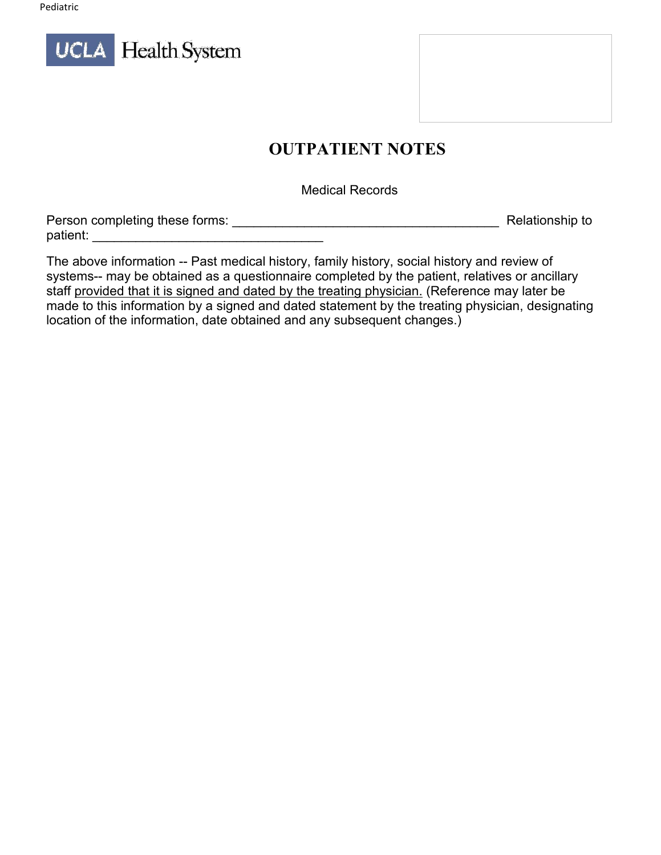

## **OUTPATIENT NOTES**

Medical Records

| Person completing these forms: | Relationship to |
|--------------------------------|-----------------|
| patient:                       |                 |

The above information -- Past medical history, family history, social history and review of systems-- may be obtained as a questionnaire completed by the patient, relatives or ancillary staff provided that it is signed and dated by the treating physician. (Reference may later be made to this information by a signed and dated statement by the treating physician, designating location of the information, date obtained and any subsequent changes.)